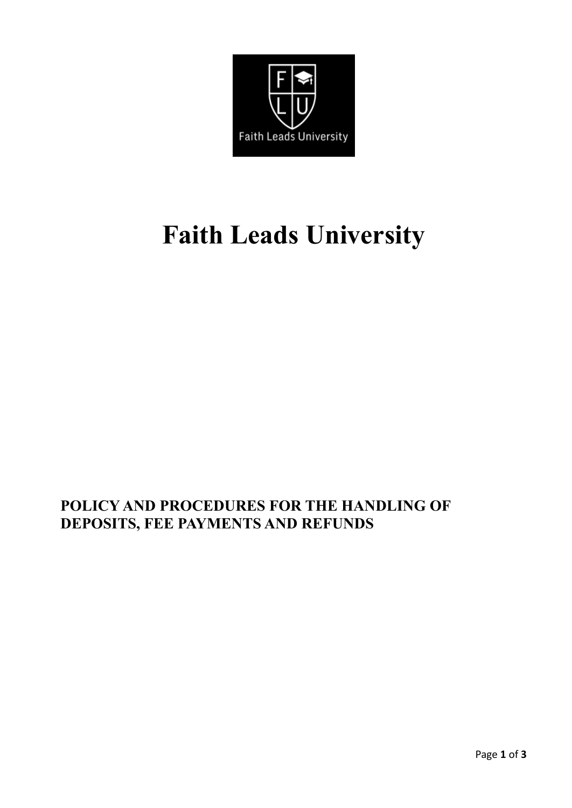

# **Faith Leads University**

# **POLICY AND PROCEDURES FOR THE HANDLING OF DEPOSITS, FEE PAYMENTS AND REFUNDS**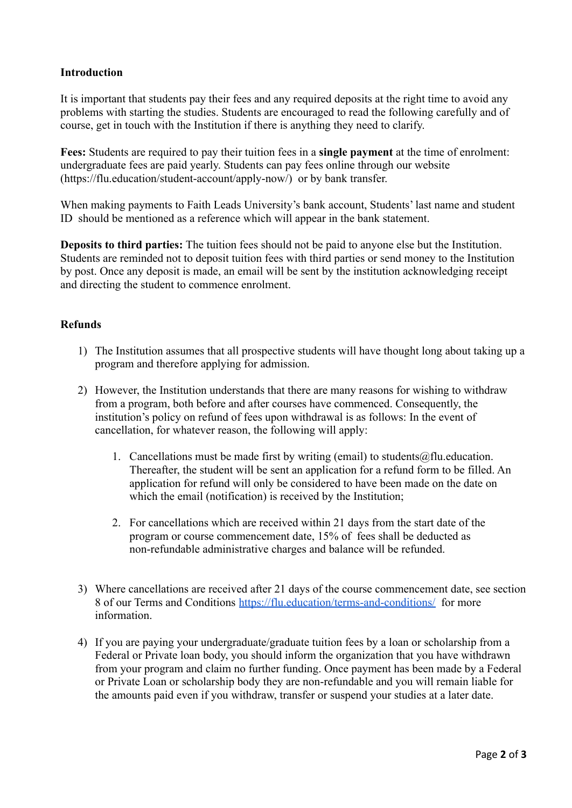## **Introduction**

It is important that students pay their fees and any required deposits at the right time to avoid any problems with starting the studies. Students are encouraged to read the following carefully and of course, get in touch with the Institution if there is anything they need to clarify.

**Fees:** Students are required to pay their tuition fees in a **single payment** at the time of enrolment: undergraduate fees are paid yearly. Students can pay fees online through our website (https://flu.education/student-account/apply-now/) or by bank transfer.

When making payments to Faith Leads University's bank account, Students' last name and student ID should be mentioned as a reference which will appear in the bank statement.

**Deposits to third parties:** The tuition fees should not be paid to anyone else but the Institution. Students are reminded not to deposit tuition fees with third parties or send money to the Institution by post. Once any deposit is made, an email will be sent by the institution acknowledging receipt and directing the student to commence enrolment.

### **Refunds**

- 1) The Institution assumes that all prospective students will have thought long about taking up a program and therefore applying for admission.
- 2) However, the Institution understands that there are many reasons for wishing to withdraw from a program, both before and after courses have commenced. Consequently, the institution's policy on refund of fees upon withdrawal is as follows: In the event of cancellation, for whatever reason, the following will apply:
	- 1. Cancellations must be made first by writing (email) to students  $@$  flu. education. Thereafter, the student will be sent an application for a refund form to be filled. An application for refund will only be considered to have been made on the date on which the email (notification) is received by the Institution;
	- 2. For cancellations which are received within 21 days from the start date of the program or course commencement date, 15% of fees shall be deducted as non-refundable administrative charges and balance will be refunded.
- 3) Where cancellations are received after 21 days of the course commencement date, see section 8 of our Terms and Conditions <https://flu.education/terms-and-conditions/> for more information.
- 4) If you are paying your undergraduate/graduate tuition fees by a loan or scholarship from a Federal or Private loan body, you should inform the organization that you have withdrawn from your program and claim no further funding. Once payment has been made by a Federal or Private Loan or scholarship body they are non-refundable and you will remain liable for the amounts paid even if you withdraw, transfer or suspend your studies at a later date.